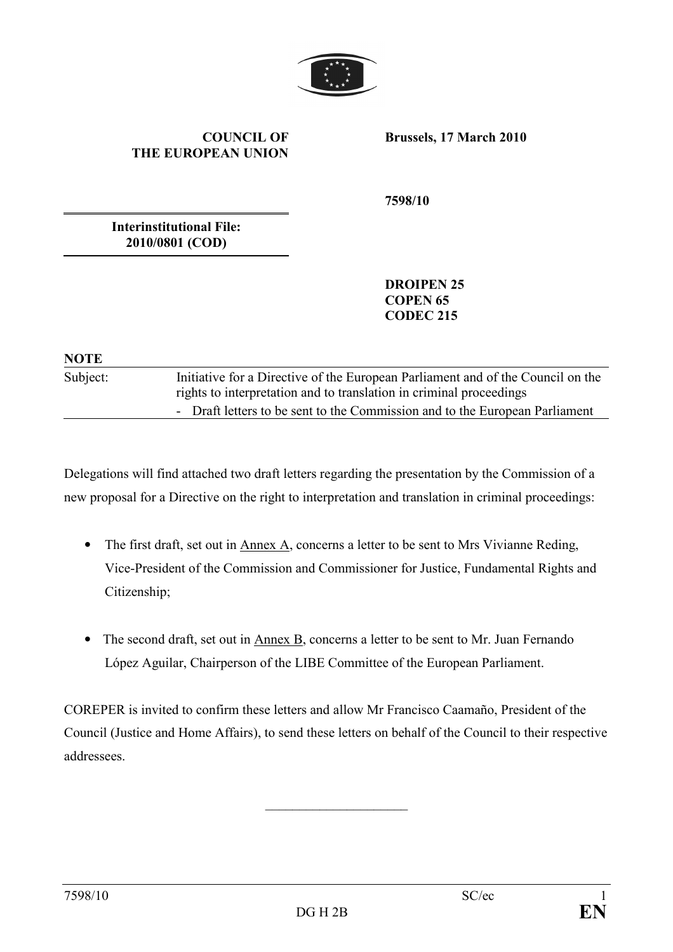

#### COUNCIL OF THE EUROPEAN UNION

Brussels, 17 March 2010

7598/10

Interinstitutional File: 2010/0801 (COD)

> DROIPEN 25 COPEN 65 CODEC 215

### **NOTE**

Subject: Initiative for a Directive of the European Parliament and of the Council on the rights to interpretation and to translation in criminal proceedings - Draft letters to be sent to the Commission and to the European Parliament

Delegations will find attached two draft letters regarding the presentation by the Commission of a new proposal for a Directive on the right to interpretation and translation in criminal proceedings:

- The first draft, set out in Annex A, concerns a letter to be sent to Mrs Vivianne Reding, Vice-President of the Commission and Commissioner for Justice, Fundamental Rights and Citizenship;
- The second draft, set out in Annex B, concerns a letter to be sent to Mr. Juan Fernando López Aguilar, Chairperson of the LIBE Committee of the European Parliament.

COREPER is invited to confirm these letters and allow Mr Francisco Caamaño, President of the Council (Justice and Home Affairs), to send these letters on behalf of the Council to their respective addressees.

\_\_\_\_\_\_\_\_\_\_\_\_\_\_\_\_\_\_\_\_\_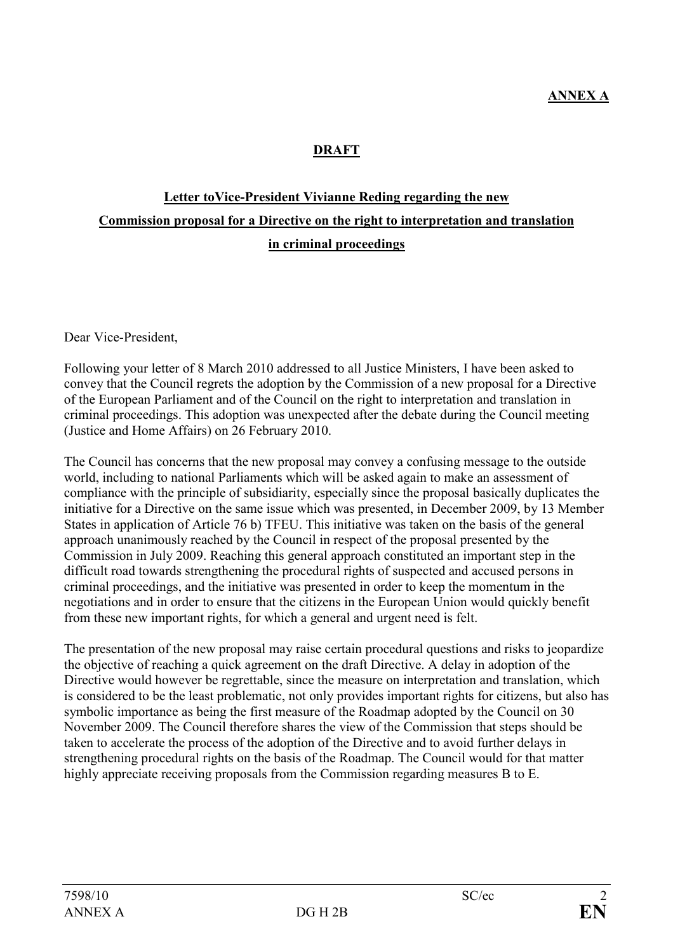### DRAFT

# Letter toVice-President Vivianne Reding regarding the new Commission proposal for a Directive on the right to interpretation and translation in criminal proceedings

Dear Vice-President,

Following your letter of 8 March 2010 addressed to all Justice Ministers, I have been asked to convey that the Council regrets the adoption by the Commission of a new proposal for a Directive of the European Parliament and of the Council on the right to interpretation and translation in criminal proceedings. This adoption was unexpected after the debate during the Council meeting (Justice and Home Affairs) on 26 February 2010.

The Council has concerns that the new proposal may convey a confusing message to the outside world, including to national Parliaments which will be asked again to make an assessment of compliance with the principle of subsidiarity, especially since the proposal basically duplicates the initiative for a Directive on the same issue which was presented, in December 2009, by 13 Member States in application of Article 76 b) TFEU. This initiative was taken on the basis of the general approach unanimously reached by the Council in respect of the proposal presented by the Commission in July 2009. Reaching this general approach constituted an important step in the difficult road towards strengthening the procedural rights of suspected and accused persons in criminal proceedings, and the initiative was presented in order to keep the momentum in the negotiations and in order to ensure that the citizens in the European Union would quickly benefit from these new important rights, for which a general and urgent need is felt.

The presentation of the new proposal may raise certain procedural questions and risks to jeopardize the objective of reaching a quick agreement on the draft Directive. A delay in adoption of the Directive would however be regrettable, since the measure on interpretation and translation, which is considered to be the least problematic, not only provides important rights for citizens, but also has symbolic importance as being the first measure of the Roadmap adopted by the Council on 30 November 2009. The Council therefore shares the view of the Commission that steps should be taken to accelerate the process of the adoption of the Directive and to avoid further delays in strengthening procedural rights on the basis of the Roadmap. The Council would for that matter highly appreciate receiving proposals from the Commission regarding measures B to E.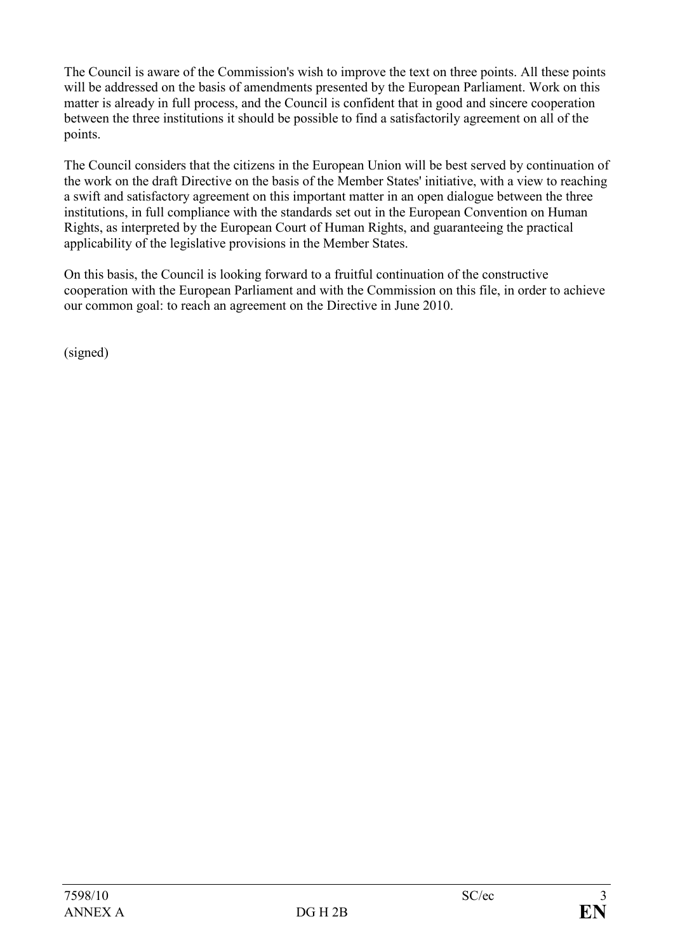The Council is aware of the Commission's wish to improve the text on three points. All these points will be addressed on the basis of amendments presented by the European Parliament. Work on this matter is already in full process, and the Council is confident that in good and sincere cooperation between the three institutions it should be possible to find a satisfactorily agreement on all of the points.

The Council considers that the citizens in the European Union will be best served by continuation of the work on the draft Directive on the basis of the Member States' initiative, with a view to reaching a swift and satisfactory agreement on this important matter in an open dialogue between the three institutions, in full compliance with the standards set out in the European Convention on Human Rights, as interpreted by the European Court of Human Rights, and guaranteeing the practical applicability of the legislative provisions in the Member States.

On this basis, the Council is looking forward to a fruitful continuation of the constructive cooperation with the European Parliament and with the Commission on this file, in order to achieve our common goal: to reach an agreement on the Directive in June 2010.

(signed)